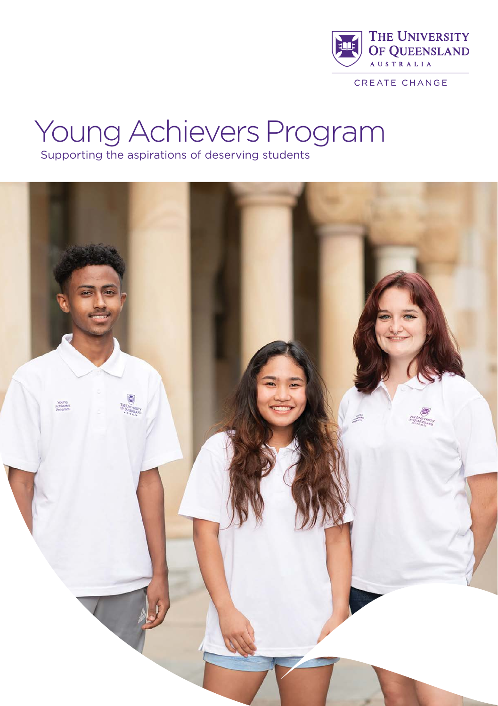

CREATE CHANGE

# Young Achievers Program

Supporting the aspirations of deserving students

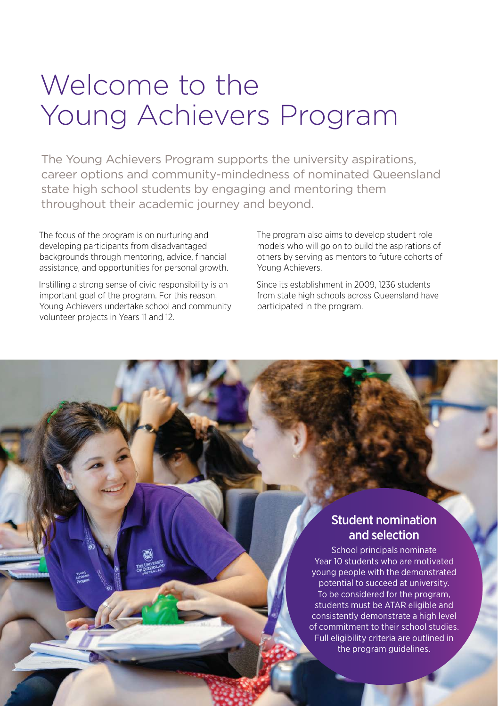# Welcome to the Young Achievers Program

The Young Achievers Program supports the university aspirations, career options and community-mindedness of nominated Queensland state high school students by engaging and mentoring them throughout their academic journey and beyond.

The focus of the program is on nurturing and developing participants from disadvantaged backgrounds through mentoring, advice, financial assistance, and opportunities for personal growth.

Instilling a strong sense of civic responsibility is an important goal of the program. For this reason, Young Achievers undertake school and community volunteer projects in Years 11 and 12.

The program also aims to develop student role models who will go on to build the aspirations of others by serving as mentors to future cohorts of Young Achievers.

Since its establishment in 2009, 1236 students from state high schools across Queensland have participated in the program.

# Student nomination and selection

School principals nominate Year 10 students who are motivated young people with the demonstrated potential to succeed at university. To be considered for the program, students must be ATAR eligible and consistently demonstrate a high level of commitment to their school studies. Full eligibility criteria are outlined in the program guidelines.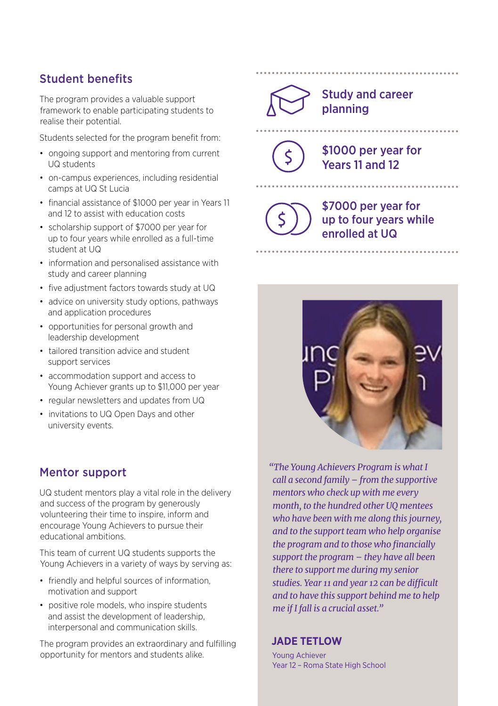### Student benefits

The program provides a valuable support framework to enable participating students to realise their potential.

Students selected for the program benefit from:

- ongoing support and mentoring from current UQ students
- on-campus experiences, including residential camps at UQ St Lucia
- financial assistance of \$1000 per year in Years 11 and 12 to assist with education costs
- scholarship support of \$7000 per year for up to four years while enrolled as a full-time student at UQ
- information and personalised assistance with study and career planning
- five adjustment factors towards study at UQ
- advice on university study options, pathways and application procedures
- opportunities for personal growth and leadership development
- tailored transition advice and student support services
- accommodation support and access to Young Achiever grants up to \$11,000 per year
- regular newsletters and updates from UQ
- invitations to UQ Open Days and other university events.

#### Mentor support

UQ student mentors play a vital role in the delivery and success of the program by generously volunteering their time to inspire, inform and encourage Young Achievers to pursue their educational ambitions.

This team of current UQ students supports the Young Achievers in a variety of ways by serving as:

- friendly and helpful sources of information, motivation and support
- positive role models, who inspire students and assist the development of leadership, interpersonal and communication skills.

The program provides an extraordinary and fulfilling opportunity for mentors and students alike.



#### Study and career planning

\$1000 per year for Years 11 and 12

> \$7000 per year for up to four years while enrolled at UQ



*"The Young Achievers Program is what I call a second family – from the supportive mentors who check up with me every month, to the hundred other UQ mentees who have been with me along this journey, and to the support team who help organise the program and to those who financially support the program – they have all been there to support me during my senior studies. Year 11 and year 12 can be difficult and to have this support behind me to help me if I fall is a crucial asset."*

#### **JADE TETLOW**

Young Achiever Year 12 – Roma State High School